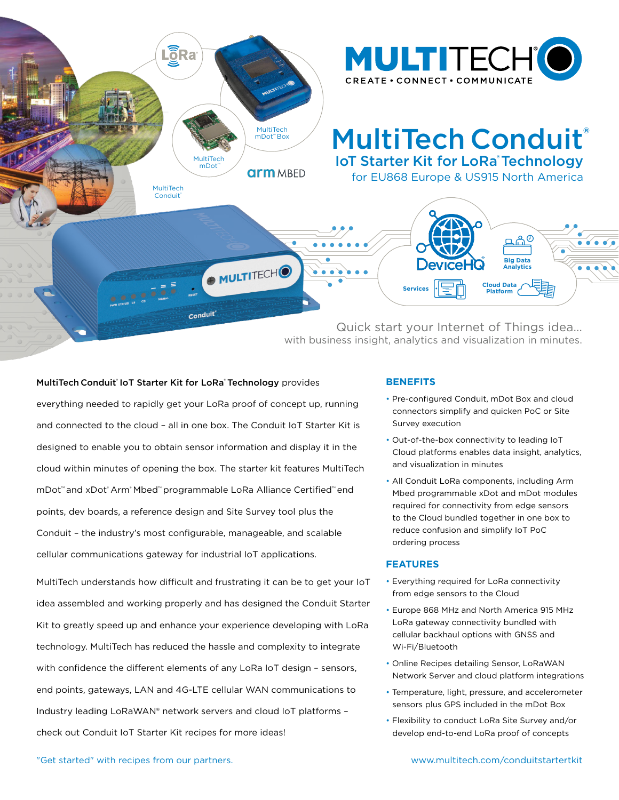

MultiTech Conduit' [IoT Starter Kit for LoRa](https://www.multitech.com/conduitstarterkit)' Technology provides

everything needed to rapidly get your LoRa proof of concept up, running and connected to the cloud – all in one box. The Conduit IoT Starter Kit is designed to enable you to obtain sensor information and display it in the cloud within minutes of opening the box. The starter kit features MultiTech mDot™ and xDot® Arm® Mbed™ programmable LoRa Alliance Certified™ end points, dev boards, a reference design and Site Survey tool plus the Conduit – the industry's most configurable, manageable, and scalable cellular communications gateway for industrial IoT applications.

MultiTech understands how difficult and frustrating it can be to get your IoT idea assembled and working properly and has designed the Conduit Starter Kit to greatly speed up and enhance your experience developing with LoRa technology. MultiTech has reduced the hassle and complexity to integrate with confidence the different elements of any LoRa IoT design – sensors, end points, gateways, LAN and 4G-LTE cellular WAN communications to Industry leading LoRaWAN® network servers and cloud IoT platforms – check out Conduit IoT Starter Kit recipes for more ideas!

# **BENEFITS**

- Pre-configured Conduit, mDot Box and cloud connectors simplify and quicken PoC or Site Survey execution
- Out-of-the-box connectivity to leading IoT Cloud platforms enables data insight, analytics, and visualization in minutes
- All Conduit LoRa components, including Arm Mbed programmable xDot and mDot modules required for connectivity from edge sensors to the Cloud bundled together in one box to reduce confusion and simplify IoT PoC ordering process

#### **FEATURES**

- Everything required for LoRa connectivity from edge sensors to the Cloud
- Europe 868 MHz and North America 915 MHz LoRa gateway connectivity bundled with cellular backhaul options with GNSS and Wi-Fi/Bluetooth
- Online Recipes detailing Sensor, LoRaWAN Network Server and cloud platform integrations
- Temperature, light, pressure, and accelerometer sensors plus GPS included in the mDot Box
- Flexibility to conduct LoRa Site Survey and/or develop end-to-end LoRa proof of concepts